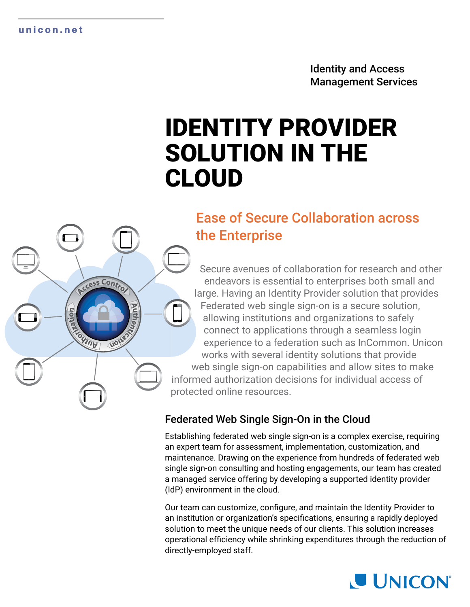#### **unicon.net**

ccess Contro

VOI

OHINE

Identity and Access Management Services

# IDENTITY PROVIDER SOLUTION IN THE CLOUD

# Ease of Secure Collaboration across the Enterprise

Secure avenues of collaboration for research and other endeavors is essential to enterprises both small and large. Having an Identity Provider solution that provides Federated web single sign-on is a secure solution, allowing institutions and organizations to safely connect to applications through a seamless login experience to a federation such as InCommon. Unicon works with several identity solutions that provide web single sign-on capabilities and allow sites to make informed authorization decisions for individual access of protected online resources.

# Federated Web Single Sign-On in the Cloud

Establishing federated web single sign-on is a complex exercise, requiring an expert team for assessment, implementation, customization, and maintenance. Drawing on the experience from hundreds of federated web single sign-on consulting and hosting engagements, our team has created a managed service offering by developing a supported identity provider (IdP) environment in the cloud.

Our team can customize, configure, and maintain the Identity Provider to an institution or organization's specifications, ensuring a rapidly deployed solution to meet the unique needs of our clients. This solution increases operational efficiency while shrinking expenditures through the reduction of directly-employed staff.